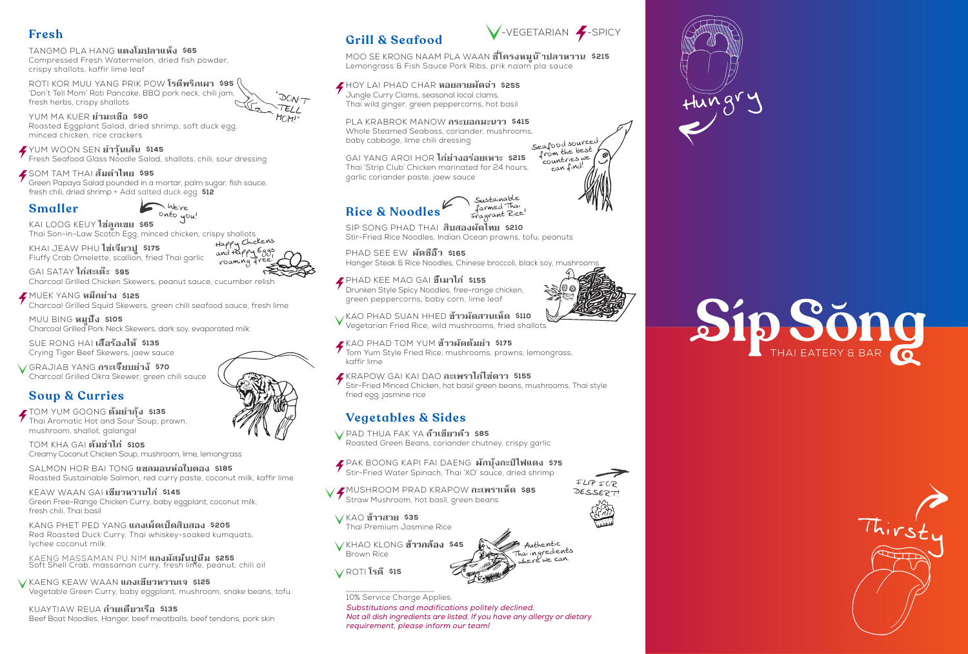# **Fresh**

#### TANGMO PLA HANG **แตงโมปลาแห้ง \$65** Compressed Fresh Watermelon, dried fish powder,

'Don't Tell Mom' Roti Pancake, BBQ pork neck, chili jam, fresh herbs, crispy shallots  $\overline{O}$ ON'<sub>7</sub>  $TEL$ 

crispy shallots, kaffir lime leaf ROTI KOR MUU YANG PRIK POW **โรตีพริกเผา \$95**

YUM MA KUER **ยำามะเขือ \$90** Roasted Eggplant Salad, dried shrimp, soft duck egg, minced chicken, rice crackers

- PAK BOONG KAPI FAI DAENG **ผักบุ้งกะปิไฟแดง \$75** Stir-Fried Water Spinach, Thai 'XO' sauce, dried shrimp
- MUSHROOM PRAD KRAPOW **กะเพราเห็ด \$85** Straw Mushroom, hot basil, green beans
- KAO **ข้าวสวย \$35** Thai Premium Jasmine Rice
- KHAO KLONG **ข้าวกล้อง \$45** Brown Rice
- $\sqrt{}$  ROTI **โรตี \$15**

YUM WOON SEN **ยำาวุ้นเส้น \$145**

Fresh Seafood Glass Noodle Salad, shallots, chili, sour dressing

## SOM TAM THAI **ส้มตำาไทย \$95**

Green Papaya Salad pounded in a mortar, palm sugar, fish sauce, fresh chili, dried shrimp + Add salted duck egg **\$12** 

# **Vegetables & Sides**

PAD THUA FAK YA **ถั่วเขียวคั่ว \$85**

Roasted Green Beans, coriander chutney, crispy garlic

SIP SONG PHAD THAI **สิบสองผัดไทย \$210** Stir-Fried Rice Noodles, Indian Ocean prawns, tofu, peanuts



PHAD KEE MAO GAI **ขี้เมาไก่ \$155** Drunken Style Spicy Noodles, free-range chicken, green peppercorns, baby corn, lime leaf

KAO PHAD SUAN HHED **ข้าวผัดสวนเห็ด \$110** Vegetarian Fried Rice, wild mushrooms, fried shallots

KAO PHAD TOM YUM **ข้าวผัดต้มยำา \$175**

Tom Yum Style Fried Rice, mushrooms, prawns, lemongrass, kaffir lime

KRAPOW GAI KAI DAO **กะเพราไก่ไข่ดาว \$155**

MOO SE KRONG NAAM PLA WAAN **ซ่ี่โครงหมูน้ ำาปลาหวาน \$215** Lemongrass & Fish Sauce Pork Ribs, prik naam pla sauce

Stir-Fried Minced Chicken, hot basil green beans, mushrooms, Thai style fried egg, jasmine rice

## **Smaller**

We're onto you!

KAI LOOG KEUY **ไข่ลูกเขย \$65** Thai Son-in-Law Scotch Egg, minced chicken, crispy shallots

KHAI JEAW PHU **ไข่เจียวปู \$175** Fluffy Crab Omelette, scallion, fried Thai garlic

Happy Chickens and Happy Eggs roaming

GAI SATAY **ไก่สะเต๊ะ \$95** Charcoal Grilled Chicken Skewers, peanut sauce, cucumber relish

MUEK YANG **หมึกย่าง \$125** Charcoal Grilled Squid Skewers, green chili seafood sauce, fresh lime

MUU BING **หมูปิ้ง \$105** Charcoal Grilled Pork Neck Skewers, dark soy, evaporated milk

SUE RONG HAI **เสื้อร้องไห้ \$135** Crying Tiger Beef Skewers, jaew sauce

GRAJIAB YANG **กระเจี๊ยบย่าง้ \$70** Charcoal Grilled Okra Skewer, green chili sauce

# **Soup & Curries**

TOM YUM GOONG **ต้มยำากุ้ง \$135** Thai Aromatic Hot and Sour Soup, prawn, mushroom, shallot, galangal

#### **Rice & Noodles** Sustainable farmed Thai Fragrant Rice!

TOM KHA GAI **ต้มข่าไก่ \$105** Creamy Coconut Chicken Soup, mushroom, lime, lemongrass

SALMON HOR BAI TONG **แซลมอนห่อใบตอง \$185** Roasted Sustainable Salmon, red curry paste, coconut milk, kaffir lime

KEAW WAAN GAI **เขียวหวานไก่ \$145** Green Free-Range Chicken Curry, baby eggplant, coconut milk, fresh chili, Thai basil

KANG PHET PED YANG **แกงเผ็ดเป็ดสิบสอง \$205** Red Roasted Duck Curry, Thai whiskey-soaked kumquats, lychee coconut milk

KAENG MASSAMAN PU NIM **แกงมัสมั่นปูนิ่ม \$255** Soft Shell Crab, massaman curry, fresh lime, peanut, chili oil

KAENG KEAW WAAN **แกงเขียวหวานเจ \$125** Vegetable Green Curry, baby eggplant, mushroom, snake beans, tofu

KUAYTIAW REUA **ก๋วยเตี๋ยวเรือ \$135** Beef Boat Noodles, Hanger, beef meatballs, beef tendons, pork skin

# **Grill & Seafood**

HOY LAI PHAD CHAR **หอยลายผัดฉ่า \$255** Jungle Curry Clams, seasonal local clams, Thai wild ginger, green peppercorns, hot basil

PLA KRABROK MANOW **กระบอกมะนาว \$415** Whole Steamed Seabass, coriander, mushrooms, baby cabbage, lime chili dressing Seafood sourced

GAI YANG AROI HOR **ไก่ย่างอร่อยเหาะ \$215** Thai 'Strip Club' Chicken marinated for 24 hours, garlic coriander paste, jaew sauce

MOM! "

10% Service Charge Applies.

Substitutions and modifications politely declined. Not all dish ingredients are listed. If you have any allergy or dietary requirement, please inform our team!





 $FLIP$  $FOP$ DESSERT

Thai ingredients shere we can.











from the best<br>countries we can find!